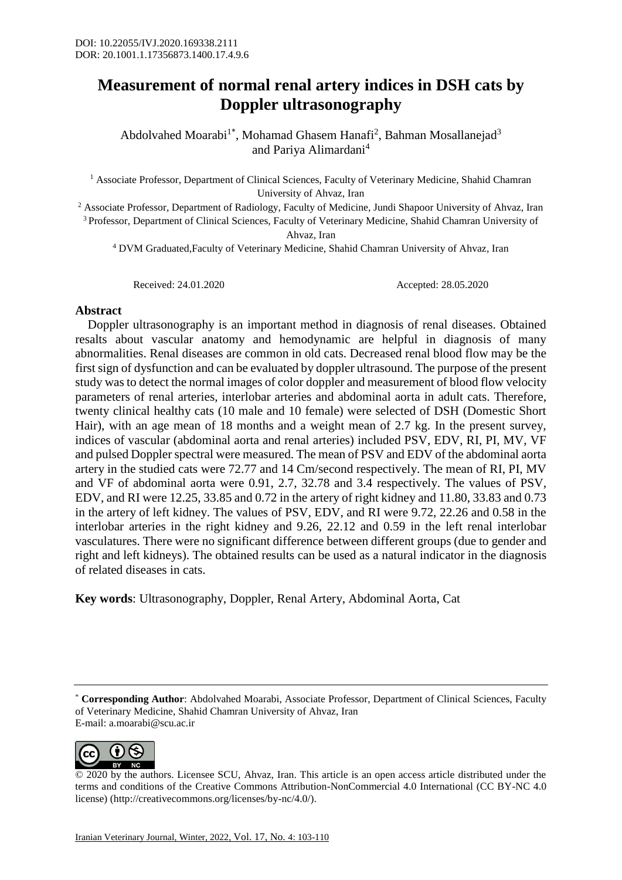## **Measurement of normal renal artery indices in DSH cats by Doppler ultrasonography**

Abdolvahed Moarabi<sup>1\*</sup>, Mohamad Ghasem Hanafi<sup>2</sup>, Bahman Mosallanejad<sup>3</sup> and Pariya Alimardani<sup>4</sup>

<sup>1</sup> Associate Professor, Department of Clinical Sciences, Faculty of Veterinary Medicine, Shahid Chamran University of Ahvaz, Iran

<sup>2</sup> Associate Professor, Department of Radiology, Faculty of Medicine, Jundi Shapoor University of Ahvaz, Iran <sup>3</sup> Professor, Department of Clinical Sciences, Faculty of Veterinary Medicine, Shahid Chamran University of Ahvaz, Iran

<sup>4</sup> DVM Graduated,Faculty of Veterinary Medicine, Shahid Chamran University of Ahvaz, Iran

Received: 24.01.2020 Accepted: 28.05.2020

## **Abstract**

 Doppler ultrasonography is an important method in diagnosis of renal diseases. Obtained resalts about vascular anatomy and hemodynamic are helpful in diagnosis of many abnormalities. Renal diseases are common in old cats. Decreased renal blood flow may be the first sign of dysfunction and can be evaluated by doppler ultrasound. The purpose of the present study was to detect the normal images of color doppler and measurement of blood flow velocity parameters of renal arteries, interlobar arteries and abdominal aorta in adult cats. Therefore, twenty clinical healthy cats (10 male and 10 female) were selected of DSH (Domestic Short Hair), with an age mean of 18 months and a weight mean of 2.7 kg. In the present survey, indices of vascular (abdominal aorta and renal arteries) included PSV, EDV, RI, PI, MV, VF and pulsed Doppler spectral were measured. The mean of PSV and EDV of the abdominal aorta artery in the studied cats were 72.77 and 14 Cm/second respectively. The mean of RI, PI, MV and VF of abdominal aorta were 0.91, 2.7, 32.78 and 3.4 respectively. The values of PSV, EDV, and RI were 12.25, 33.85 and 0.72 in the artery of right kidney and 11.80, 33.83 and 0.73 in the artery of left kidney. The values of PSV, EDV, and RI were 9.72, 22.26 and 0.58 in the interlobar arteries in the right kidney and 9.26, 22.12 and 0.59 in the left renal interlobar vasculatures. There were no significant difference between different groups (due to gender and right and left kidneys). The obtained results can be used as a natural indicator in the diagnosis of related diseases in cats.

**Key words**: Ultrasonography, Doppler, Renal Artery, Abdominal Aorta, Cat

<sup>\*</sup> **Corresponding Author**: Abdolvahed Moarabi, Associate Professor, Department of Clinical Sciences, Faculty of Veterinary Medicine, Shahid Chamran University of Ahvaz, Iran E-mail: a.moarabi@scu.ac.ir



<sup>© 2020</sup> by the authors. Licensee SCU, Ahvaz, Iran. This article is an open access article distributed under the terms and conditions of the Creative Commons Attribution-NonCommercial 4.0 International (CC BY-NC 4.0 license) (http://creativecommons.org/licenses/by-nc/4.0/).